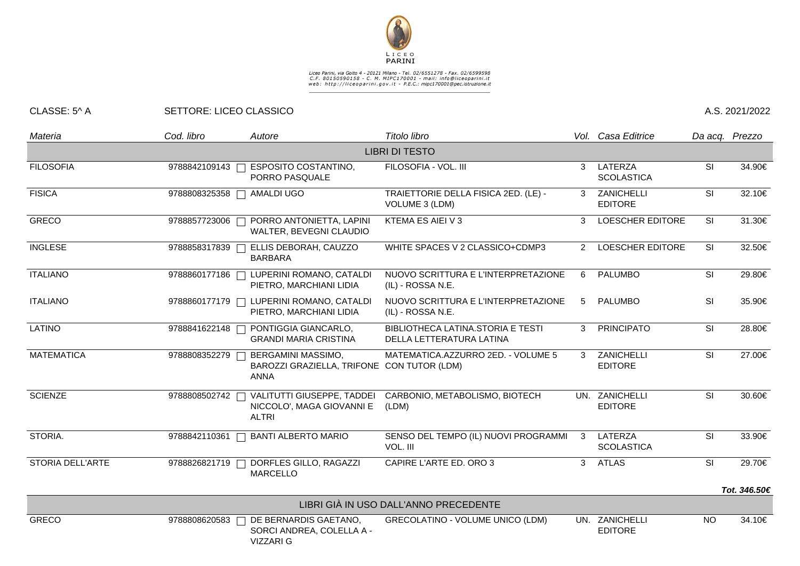

## Liceo Parini, via Goito 4 - 20121 Milano - Tel. 02/6551278 - Fax. 02/6599598<br>C.F. 80150590158 - C. M. MIPC170001 - mail: info@liceoparini.it<br>web: http://liceoparini.gov.it - P.E.C.: mipc170001@pec.istruzione.it

## CLASSE: 5^ A SETTORE: LICEO CLASSICO A.S. 2021/2022

| Materia                 | Cod. libro    | Autore                                                                          | Titolo libro                                                  |    | Vol. Casa Editrice               |                          | Da acq. Prezzo |  |  |  |  |  |
|-------------------------|---------------|---------------------------------------------------------------------------------|---------------------------------------------------------------|----|----------------------------------|--------------------------|----------------|--|--|--|--|--|
| <b>LIBRI DI TESTO</b>   |               |                                                                                 |                                                               |    |                                  |                          |                |  |  |  |  |  |
| <b>FILOSOFIA</b>        | 9788842109143 | <b>ESPOSITO COSTANTINO,</b><br>PORRO PASQUALE                                   | FILOSOFIA - VOL. III                                          | 3  | LATERZA<br><b>SCOLASTICA</b>     | SI                       | 34.90€         |  |  |  |  |  |
| <b>FISICA</b>           | 9788808325358 | AMALDI UGO                                                                      | TRAIETTORIE DELLA FISICA 2ED. (LE) -<br>VOLUME 3 (LDM)        | 3  | ZANICHELLI<br><b>EDITORE</b>     | SI                       | 32.10€         |  |  |  |  |  |
| <b>GRECO</b>            |               | 9788857723006   PORRO ANTONIETTA, LAPINI<br>WALTER, BEVEGNI CLAUDIO             | KTEMA ES AIEI V 3                                             | 3  | <b>LOESCHER EDITORE</b>          | SI                       | 31.30€         |  |  |  |  |  |
| <b>INGLESE</b>          | 9788858317839 | ELLIS DEBORAH, CAUZZO<br><b>BARBARA</b>                                         | WHITE SPACES V 2 CLASSICO+CDMP3                               | 2  | LOESCHER EDITORE                 | SI                       | 32.50€         |  |  |  |  |  |
| <b>ITALIANO</b>         |               | 9788860177186   LUPERINI ROMANO, CATALDI<br>PIETRO, MARCHIANI LIDIA             | NUOVO SCRITTURA E L'INTERPRETAZIONE<br>(IL) - ROSSA N.E.      | 6  | <b>PALUMBO</b>                   | SI                       | 29.80€         |  |  |  |  |  |
| <b>ITALIANO</b>         |               | 9788860177179   LUPERINI ROMANO, CATALDI<br>PIETRO, MARCHIANI LIDIA             | NUOVO SCRITTURA E L'INTERPRETAZIONE<br>(IL) - ROSSA N.E.      | 5  | <b>PALUMBO</b>                   | SI                       | 35.90€         |  |  |  |  |  |
| <b>LATINO</b>           | 9788841622148 | PONTIGGIA GIANCARLO,<br><b>GRANDI MARIA CRISTINA</b>                            | BIBLIOTHECA LATINA.STORIA E TESTI<br>DELLA LETTERATURA LATINA | 3  | <b>PRINCIPATO</b>                | SI                       | 28.80€         |  |  |  |  |  |
| <b>MATEMATICA</b>       | 9788808352279 | BERGAMINI MASSIMO,<br>BAROZZI GRAZIELLA, TRIFONE CON TUTOR (LDM)<br><b>ANNA</b> | MATEMATICA.AZZURRO 2ED. - VOLUME 5                            | 3  | ZANICHELLI<br><b>EDITORE</b>     | <b>SI</b>                | 27.00€         |  |  |  |  |  |
| <b>SCIENZE</b>          | 9788808502742 | <b>VALITUTTI GIUSEPPE, TADDEI</b><br>NICCOLO', MAGA GIOVANNI E<br><b>ALTRI</b>  | CARBONIO, METABOLISMO, BIOTECH<br>(LDM)                       |    | UN. ZANICHELLI<br><b>EDITORE</b> | $\overline{\mathsf{SI}}$ | 30.60€         |  |  |  |  |  |
| STORIA.                 |               | 9788842110361   BANTI ALBERTO MARIO                                             | SENSO DEL TEMPO (IL) NUOVI PROGRAMMI<br>VOL. III              | -3 | LATERZA<br><b>SCOLASTICA</b>     | SI                       | 33.90€         |  |  |  |  |  |
| <b>STORIA DELL'ARTE</b> | 9788826821719 | DORFLES GILLO, RAGAZZI<br><b>MARCELLO</b>                                       | CAPIRE L'ARTE ED. ORO 3                                       | 3  | <b>ATLAS</b>                     | <b>SI</b>                | 29.70€         |  |  |  |  |  |
|                         |               |                                                                                 |                                                               |    |                                  |                          | Tot. 346.50€   |  |  |  |  |  |
|                         |               |                                                                                 | LIBRI GIÀ IN USO DALL'ANNO PRECEDENTE                         |    |                                  |                          |                |  |  |  |  |  |
| <b>GRECO</b>            | 9788808620583 | DE BERNARDIS GAETANO,<br>SORCI ANDREA, COLELLA A -<br><b>VIZZARI G</b>          | <b>GRECOLATINO - VOLUME UNICO (LDM)</b>                       |    | UN. ZANICHELLI<br><b>EDITORE</b> | <b>NO</b>                | 34.10€         |  |  |  |  |  |